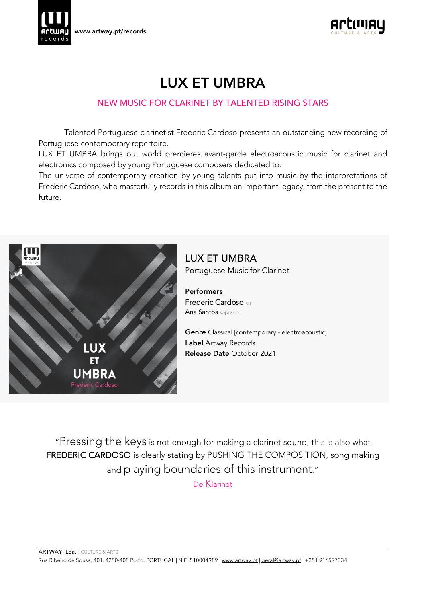



# LUX ET UMBRA

## NEW MUSIC FOR CLARINET BY TALENTED RISING STARS

Talented Portuguese clarinetist Frederic Cardoso presents an outstanding new recording of Portuguese contemporary repertoire.

LUX ET UMBRA brings out world premieres avant-garde electroacoustic music for clarinet and electronics composed by young Portuguese composers dedicated to.

The universe of contemporary creation by young talents put into music by the interpretations of Frederic Cardoso, who masterfully records in this album an important legacy, from the present to the future.



LUX ET UMBRA Portuguese Music for Clarinet

Performers

Frederic Cardoso clr Ana Santos soprano

Genre Classical [contemporary - electroacoustic] Label Artway Records Release Date October 2021

"Pressing the keys is not enough for making a clarinet sound, this is also what FREDERIC CARDOSO is clearly stating by PUSHING THE COMPOSITION, song making and playing boundaries of this instrument."

De Klarinet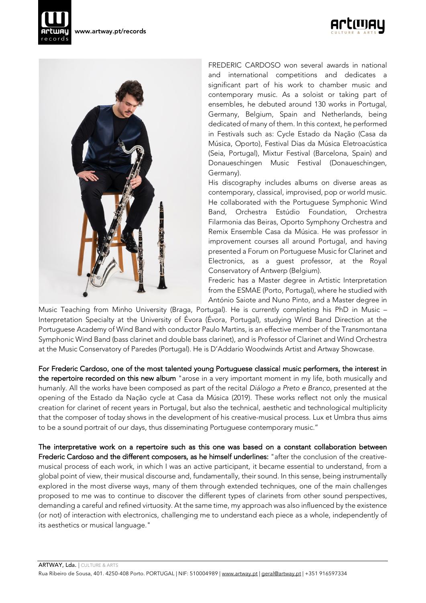





FREDERIC CARDOSO won several awards in national and international competitions and dedicates a significant part of his work to chamber music and contemporary music. As a soloist or taking part of ensembles, he debuted around 130 works in Portugal, Germany, Belgium, Spain and Netherlands, being dedicated of many of them. In this context, he performed in Festivals such as: Cycle Estado da Nação (Casa da Música, Oporto), Festival Dias da Música Eletroacústica (Seia, Portugal), Mixtur Festival (Barcelona, Spain) and Donaueschingen Music Festival (Donaueschingen, Germany).

His discography includes albums on diverse areas as contemporary, classical, improvised, pop or world music. He collaborated with the Portuguese Symphonic Wind Band, Orchestra Estúdio Foundation, Orchestra Filarmonia das Beiras, Oporto Symphony Orchestra and Remix Ensemble Casa da Música. He was professor in improvement courses all around Portugal, and having presented a Forum on Portuguese Music for Clarinet and Electronics, as a guest professor, at the Royal Conservatory of Antwerp (Belgium).

Frederic has a Master degree in Artistic Interpretation from the ESMAE (Porto, Portugal), where he studied with António Saiote and Nuno Pinto, and a Master degree in

Music Teaching from Minho University (Braga, Portugal). He is currently completing his PhD in Music – Interpretation Specialty at the University of Évora (Évora, Portugal), studying Wind Band Direction at the Portuguese Academy of Wind Band with conductor Paulo Martins, is an effective member of the Transmontana Symphonic Wind Band (bass clarinet and double bass clarinet), and is Professor of Clarinet and Wind Orchestra at the Music Conservatory of Paredes (Portugal). He is D'Addario Woodwinds Artist and Artway Showcase.

For Frederic Cardoso, one of the most talented young Portuguese classical music performers, the interest in the repertoire recorded on this new album "arose in a very important moment in my life, both musically and humanly. All the works have been composed as part of the recital *Diálogo a Preto e Branco*, presented at the opening of the Estado da Nação cycle at Casa da Música (2019). These works reflect not only the musical creation for clarinet of recent years in Portugal, but also the technical, aesthetic and technological multiplicity that the composer of today shows in the development of his creative-musical process. Lux et Umbra thus aims to be a sound portrait of our days, thus disseminating Portuguese contemporary music."

The interpretative work on a repertoire such as this one was based on a constant collaboration between Frederic Cardoso and the different composers, as he himself underlines: "after the conclusion of the creativemusical process of each work, in which I was an active participant, it became essential to understand, from a global point of view, their musical discourse and, fundamentally, their sound. In this sense, being instrumentally explored in the most diverse ways, many of them through extended techniques, one of the main challenges proposed to me was to continue to discover the different types of clarinets from other sound perspectives, demanding a careful and refined virtuosity. At the same time, my approach was also influenced by the existence (or not) of interaction with electronics, challenging me to understand each piece as a whole, independently of its aesthetics or musical language."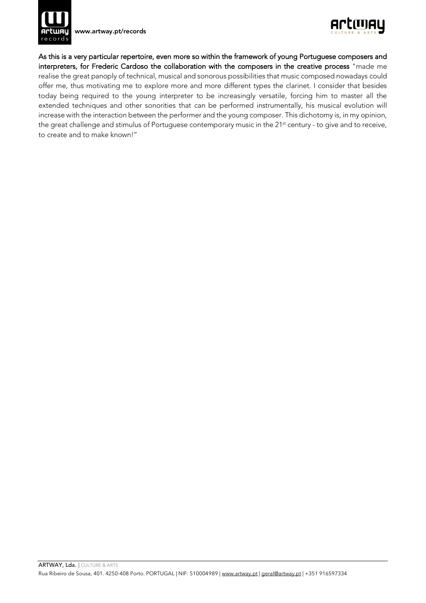

www.artway.pt/records



As this is a very particular repertoire, even more so within the framework of young Portuguese composers and interpreters, for Frederic Cardoso the collaboration with the composers in the creative process "made me realise the great panoply of technical, musical and sonorous possibilities that music composed nowadays could offer me, thus motivating me to explore more and more different types the clarinet. I consider that besides today being required to the young interpreter to be increasingly versatile, forcing him to master all the extended techniques and other sonorities that can be performed instrumentally, his musical evolution will increase with the interaction between the performer and the young composer. This dichotomy is, in my opinion, the great challenge and stimulus of Portuguese contemporary music in the 21<sup>st</sup> century - to give and to receive, to create and to make known!"